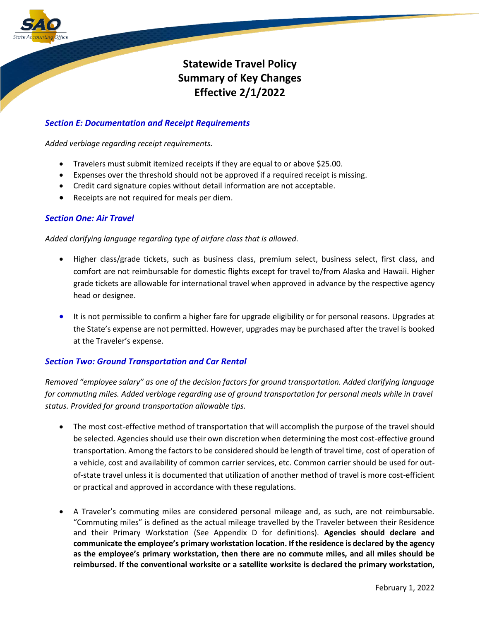

# **Statewide Travel Policy Summary of Key Changes Effective 2/1/2022**

# *Section E: Documentation and Receipt Requirements*

*Added verbiage regarding receipt requirements.*

- Travelers must submit itemized receipts if they are equal to or above \$25.00.
- Expenses over the threshold should not be approved if a required receipt is missing.
- Credit card signature copies without detail information are not acceptable.
- Receipts are not required for meals per diem.

# *Section One: Air Travel*

*Added clarifying language regarding type of airfare class that is allowed.*

- Higher class/grade tickets, such as business class, premium select, business select, first class, and comfort are not reimbursable for domestic flights except for travel to/from Alaska and Hawaii. Higher grade tickets are allowable for international travel when approved in advance by the respective agency head or designee.
- It is not permissible to confirm a higher fare for upgrade eligibility or for personal reasons. Upgrades at the State's expense are not permitted. However, upgrades may be purchased after the travel is booked at the Traveler's expense.

# *Section Two: Ground Transportation and Car Rental*

*Removed "employee salary" as one of the decision factors for ground transportation. Added clarifying language for commuting miles. Added verbiage regarding use of ground transportation for personal meals while in travel status. Provided for ground transportation allowable tips.*

- The most cost-effective method of transportation that will accomplish the purpose of the travel should be selected. Agencies should use their own discretion when determining the most cost-effective ground transportation. Among the factors to be considered should be length of travel time, cost of operation of a vehicle, cost and availability of common carrier services, etc. Common carrier should be used for outof-state travel unless it is documented that utilization of another method of travel is more cost-efficient or practical and approved in accordance with these regulations.
- A Traveler's commuting miles are considered personal mileage and, as such, are not reimbursable. "Commuting miles" is defined as the actual mileage travelled by the Traveler between their Residence and their Primary Workstation (See Appendix D for definitions). **Agencies should declare and communicate the employee's primary workstation location. If the residence is declared by the agency as the employee's primary workstation, then there are no commute miles, and all miles should be reimbursed. If the conventional worksite or a satellite worksite is declared the primary workstation,**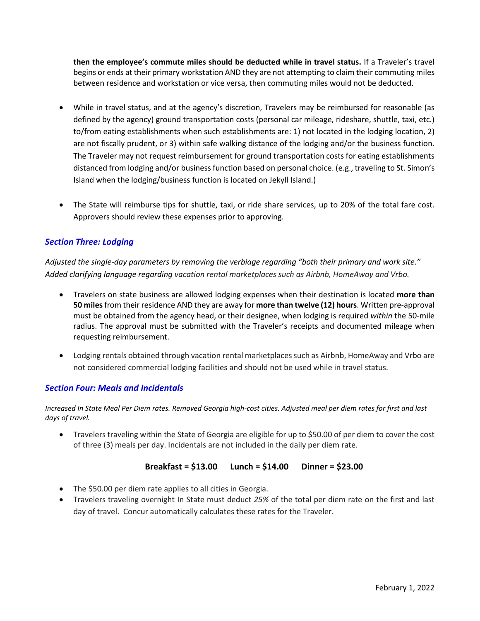**then the employee's commute miles should be deducted while in travel status.** If a Traveler's travel begins or ends at their primary workstation AND they are not attempting to claim their commuting miles between residence and workstation or vice versa, then commuting miles would not be deducted.

- While in travel status, and at the agency's discretion, Travelers may be reimbursed for reasonable (as defined by the agency) ground transportation costs (personal car mileage, rideshare, shuttle, taxi, etc.) to/from eating establishments when such establishments are: 1) not located in the lodging location, 2) are not fiscally prudent, or 3) within safe walking distance of the lodging and/or the business function. The Traveler may not request reimbursement for ground transportation costs for eating establishments distanced from lodging and/or business function based on personal choice. (e.g., traveling to St. Simon's Island when the lodging/business function is located on Jekyll Island.)
- The State will reimburse tips for shuttle, taxi, or ride share services, up to 20% of the total fare cost. Approvers should review these expenses prior to approving.

# *Section Three: Lodging*

*Adjusted the single-day parameters by removing the verbiage regarding "both their primary and work site." Added clarifying language regarding vacation rental marketplaces such as Airbnb, HomeAway and Vrbo.*

- Travelers on state business are allowed lodging expenses when their destination is located **more than 50 miles**from their residence AND they are away for **more than twelve (12) hours**. Written pre-approval must be obtained from the agency head, or their designee, when lodging is required *within* the 50-mile radius. The approval must be submitted with the Traveler's receipts and documented mileage when requesting reimbursement.
- Lodging rentals obtained through vacation rental marketplaces such as Airbnb, HomeAway and Vrbo are not considered commercial lodging facilities and should not be used while in travel status.

# *Section Four: Meals and Incidentals*

*Increased In State Meal Per Diem rates. Removed Georgia high-cost cities. Adjusted meal per diem rates for first and last days of travel.*

• Travelers traveling within the State of Georgia are eligible for up to \$50.00 of per diem to cover the cost of three (3) meals per day. Incidentals are not included in the daily per diem rate.

#### **Breakfast = \$13.00 Lunch = \$14.00 Dinner = \$23.00**

- The \$50.00 per diem rate applies to all cities in Georgia.
- Travelers traveling overnight In State must deduct *25%* of the total per diem rate on the first and last day of travel. Concur automatically calculates these rates for the Traveler.